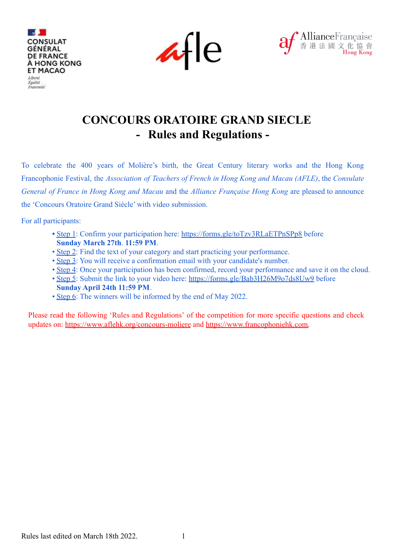





# **CONCOURS ORATOIRE GRAND SIECLE - Rules and Regulations -**

To celebrate the 400 years of Molière's birth, the Great Century literary works and the Hong Kong Francophonie Festival, the *Association of Teachers of French in Hong Kong and Macau (AFLE)*, the *Consulate General of France in Hong Kong and Macau* and the *Alliance Française Hong Kong* are pleased to announce the 'Concours Oratoire Grand Siècle' with video submission.

For all participants:

- Step 1: Confirm your participation here: <https://forms.gle/toTzv3RLaETPnSPp8> before **Sunday March 27th**. **11:59 PM**.
- Step 2: Find the text of your category and start practicing your performance.
- Step 3: You will receive a confirmation email with your candidate's number.
- Step 4: Once your participation has been confirmed, record your performance and save it on the cloud.
- Step 5: Submit the link to your video here: <https://forms.gle/Bab3H26M9o7ds8Uw9> before **Sunday April 24th 11:59 PM**.
- Step 6: The winners will be informed by the end of May 2022.

Please read the following 'Rules and Regulations' of the competition for more specific questions and check updates on: <https://www.aflehk.org/concours-moliere> and [https://www.francophoniehk.com.](https://www.francophoniehk.com)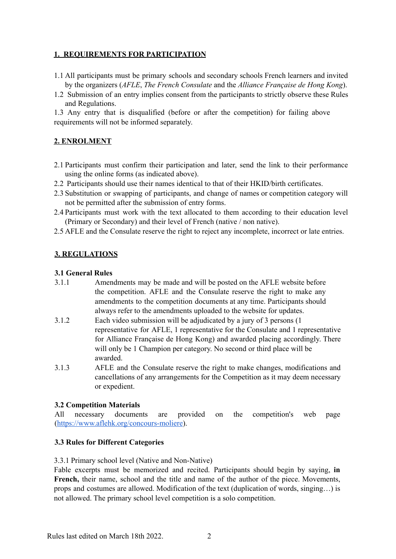## **1. REQUIREMENTS FOR PARTICIPATION**

- 1.1 All participants must be primary schools and secondary schools French learners and invited by the organizers (*AFLE*, *The French Consulate* and the *Alliance Française de Hong Kong*).
- 1.2 Submission of an entry implies consent from the participants to strictly observe these Rules and Regulations.

1.3 Any entry that is disqualified (before or after the competition) for failing above requirements will not be informed separately.

## **2. ENROLMENT**

- 2.1 Participants must confirm their participation and later, send the link to their performance using the online forms (as indicated above).
- 2.2 Participants should use their names identical to that of their HKID/birth certificates.
- 2.3 Substitution or swapping of participants, and change of names or competition category will not be permitted after the submission of entry forms.
- 2.4 Participants must work with the text allocated to them according to their education level (Primary or Secondary) and their level of French (native / non native).
- 2.5 AFLE and the Consulate reserve the right to reject any incomplete, incorrect or late entries.

### **3. REGULATIONS**

#### **3.1 General Rules**

- 3.1.1 Amendments may be made and will be posted on the AFLE website before the competition. AFLE and the Consulate reserve the right to make any amendments to the competition documents at any time. Participants should always refer to the amendments uploaded to the website for updates.
- 3.1.2 Each video submission will be adjudicated by a jury of 3 persons (1 representative for AFLE, 1 representative for the Consulate and 1 representative for Alliance Française de Hong Kong) and awarded placing accordingly. There will only be 1 Champion per category. No second or third place will be awarded.
- 3.1.3 AFLE and the Consulate reserve the right to make changes, modifications and cancellations of any arrangements for the Competition as it may deem necessary or expedient.

### **3.2 Competition Materials**

All necessary documents are provided on the competition's web page (<https://www.aflehk.org/concours-moliere>).

### **3.3 Rules for Different Categories**

#### 3.3.1 Primary school level (Native and Non-Native)

Fable excerpts must be memorized and recited. Participants should begin by saying, **in French,** their name, school and the title and name of the author of the piece. Movements, props and costumes are allowed. Modification of the text (duplication of words, singing…) is not allowed. The primary school level competition is a solo competition.